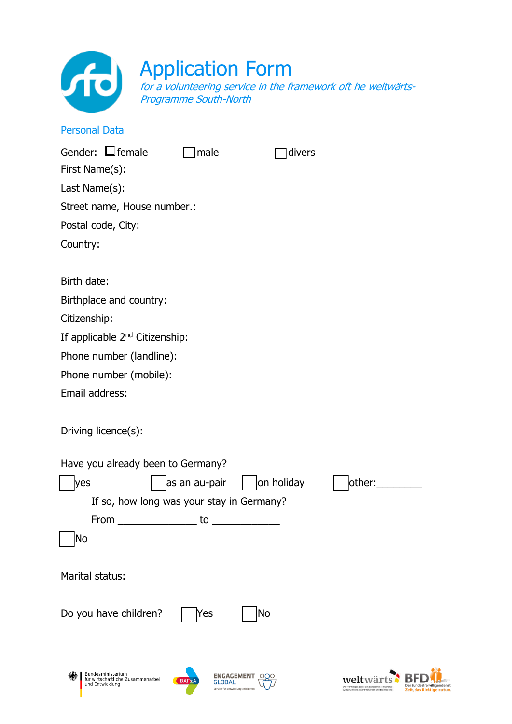

# Application Form

for a volunteering service in the framework oft he weltwärts-Programme South-North

# Personal Data

| Gender: $\Box$ female<br>First Name(s):    | male          |            | divers |        |
|--------------------------------------------|---------------|------------|--------|--------|
| Last Name(s):                              |               |            |        |        |
| Street name, House number.:                |               |            |        |        |
| Postal code, City:                         |               |            |        |        |
| Country:                                   |               |            |        |        |
| Birth date:                                |               |            |        |        |
| Birthplace and country:                    |               |            |        |        |
| Citizenship:                               |               |            |        |        |
| If applicable 2 <sup>nd</sup> Citizenship: |               |            |        |        |
| Phone number (landline):                   |               |            |        |        |
| Phone number (mobile):                     |               |            |        |        |
| Email address:                             |               |            |        |        |
| Driving licence(s):                        |               |            |        |        |
| Have you already been to Germany?          |               |            |        |        |
| <b>yes</b>                                 | as an au-pair | on holiday |        | other: |
| If so, how long was your stay in Germany?  |               |            |        |        |
| From                                       | to            |            |        |        |
| No                                         |               |            |        |        |
| Marital status:                            |               |            |        |        |
| Do you have children?                      | Yes           | No         |        |        |
|                                            |               |            |        |        |

ENGAGEMENT 000

BAFZA

weltwärts<sup>b</sup> BFD

Der Freiwilligendienst des E

Der Bundesfreiwilligend<br>Zeit, das Richtige zu

Bundesministerium<br>für wirtschaftliche Zusammenarbei<br>und Entwicklung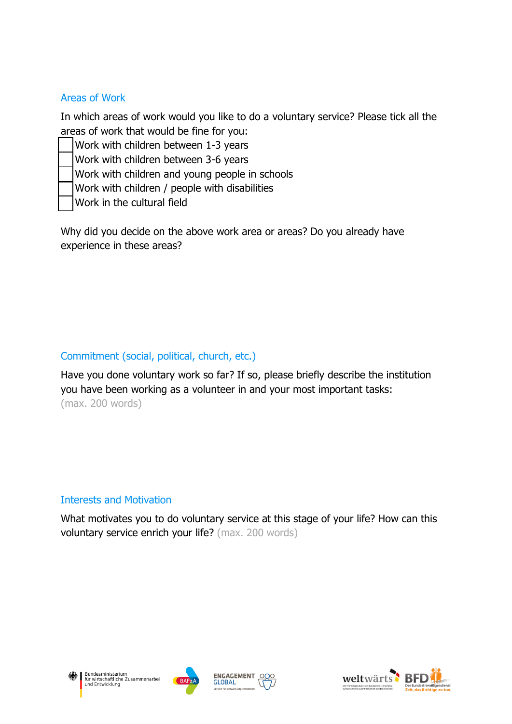#### Areas of Work

In which areas of work would you like to do a voluntary service? Please tick all the areas of work that would be fine for you:

Work with children between 1-3 years

Work with children between 3-6 years

Work with children and young people in schools

Work with children / people with disabilities

Work in the cultural field

Why did you decide on the above work area or areas? Do you already have experience in these areas?

### Commitment (social, political, church, etc.)

Have you done voluntary work so far? If so, please briefly describe the institution you have been working as a volunteer in and your most important tasks: (max. 200 words)

#### Interests and Motivation

What motivates you to do voluntary service at this stage of your life? How can this voluntary service enrich your life? (max. 200 words)